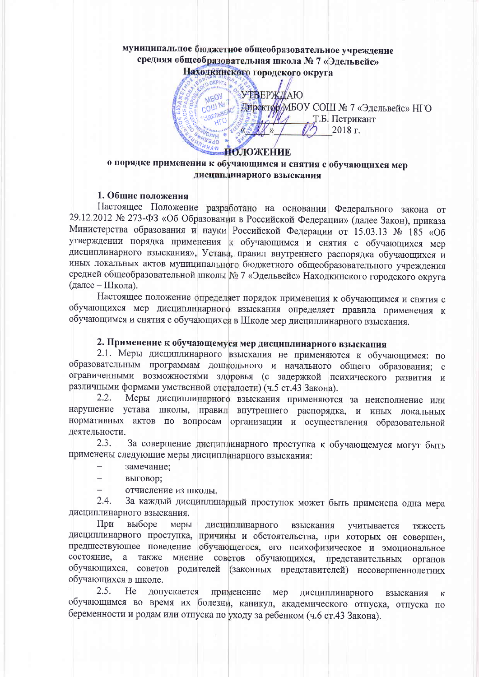# муниципальное бюджетное общеобразовательное учреждение средняя общеобразовательная школа № 7 «Эдельвейс»

Находкинского городского округа

УТВЕРЖДАЮ **MEOY** COLLI Nº Директор/МБОУ СОШ № 7 «Эдельвейс» НГО \* JAENbBER Т.Б. Петрикант HTO N<sub>»</sub> 2018 г. CPERH **UHAW ПОЛОЖЕНИЕ** 

### о порядке применения к обучающимся и снятия с обучающихся мер дисциплинарного взыскания

### 1. Общие положения

Настоящее Положение разработано на основании Федерального закона от 29.12.2012 № 273-ФЗ «Об Образовании в Российской Федерации» (далее Закон), приказа Министерства образования и науки Российской Федерации от 15.03.13 № 185 «Об утверждении порядка применения к обучающимся и снятия с обучающихся мер дисциплинарного взыскания», Устава, правил внутреннего распорядка обучающихся и иных локальных актов муниципального бюджетного общеобразовательного учреждения средней общеобразовательной школы № 7 «Эдельвейс» Находкинского городского округа (далее - Школа).

Настоящее положение определяет порядок применения к обучающимся и снятия с обучающихся мер дисциплинарного взыскания определяет правила применения к обучающимся и снятия с обучающихся в Школе мер дисциплинарного взыскания.

#### 2. Применение к обучающемуся мер дисциплинарного взыскания

2.1. Меры дисциплинарного взыскания не применяются к обучающимся: по образовательным программам дошкольного и начального общего образования; с ограниченными возможностями здоровья (с задержкой психического развития и различными формами умственной отсталости) (ч.5 ст.43 Закона).

Меры дисциплинарного взыскания применяются за неисполнение или  $2.2.$ нарушение устава школы, правил внутреннего распорядка, и иных локальных нормативных актов по вопросам организации и осуществления образовательной деятельности.

 $2.3.$ За совершение дисциплинарного проступка к обучающемуся могут быть применены следующие меры дисциплинарного взыскания:

- замечание;
- $\overline{\phantom{0}}$ выговор:
- $\overline{a}$ отчисление из школы.

 $2.4.$ За каждый дисциплинарный проступок может быть применена одна мера дисциплинарного взыскания.

При выборе меры дисциплинарного взыскания учитывается тяжесть дисциплинарного проступка, причины и обстоятельства, при которых он совершен, предшествующее поведение обучающегося, его психофизическое и эмоциональное состояние, а также мнение советов обучающихся, представительных органов обучающихся, советов родителей (законных представителей) несовершеннолетних обучающихся в школе.

 $2.5.$ He применение мер допускается дисциплинарного взыскания  $\bf K$ обучающимся во время их болезни, каникул, академического отпуска, отпуска по беременности и родам или отпуска по уходу за ребенком (ч.6 ст.43 Закона).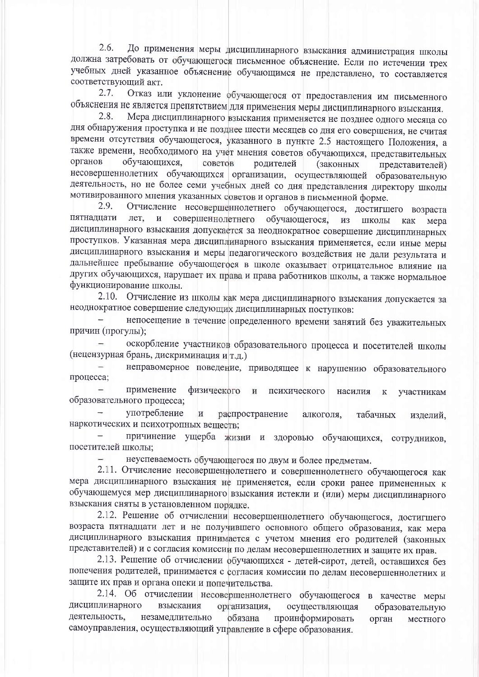До применения меры дисциплинарного взыскания администрация школы  $2.6.$ должна затребовать от обучающегося письменное объяснение. Если по истечении трех учебных дней указанное объяснение обучающимся не представлено, то составляется соответствующий акт.

Отказ или уклонение обучающегося от предоставления им письменного  $2.7.$ объяснения не является препятствием для применения меры дисциплинарного взыскания.

 $2.8.$ Мера дисциплинарного взыскания применяется не позднее одного месяца со дня обнаружения проступка и не позднее шести месяцев со дня его совершения, не считая времени отсутствия обучающегося, указанного в пункте 2.5 настоящего Положения, а также времени, необходимого на учет мнения советов обучающихся, представительных органов обучающихся. советов родителей (законных представителей) несовершеннолетних обучающихся организации, осуществляющей образовательную деятельность, но не более семи учебных дней со дня представления директору школы мотивированного мнения указанных советов и органов в письменной форме.

2.9. Отчисление несовершеннолетнего обучающегося, достигшего возраста пятнадцати совершеннолетнего лет.  $\overline{M}$ обучающегося. **H3** ШКОЛЫ как мера дисциплинарного взыскания допускается за неоднократное совершение дисциплинарных проступков. Указанная мера дисциплинарного взыскания применяется, если иные меры дисциплинарного взыскания и меры педагогического воздействия не дали результата и дальнейшее пребывание обучающегося в школе оказывает отрицательное влияние на других обучающихся, нарушает их права и права работников школы, а также нормальное функционирование школы.

2.10. Отчисление из школы как мера дисциплинарного взыскания допускается за неоднократное совершение следующих дисциплинарных поступков:

непосещение в течение определенного времени занятий без уважительных причин (прогулы);

оскорбление участников образовательного процесса и посетителей школы (нецензурная брань, дискриминация и т.д.)

неправомерное поведение, приводящее к нарушению образовательного процесса;

применение физического  $\overline{M}$ психического насилия  $\overline{\mathbf{K}}$ участникам образовательного процесса;

употребление  $\mathbf{H}$ распространение алкоголя. табачных изделий. наркотических и психотропных веществ;

причинение ущерба жизни и здоровью обучающихся, сотрудников, посетителей школы;

неуспеваемость обучающегося по двум и более предметам.

2.11. Отчисление несовершеннолетнего и совершеннолетнего обучающегося как мера дисциплинарного взыскания не применяется, если сроки ранее примененных к обучающемуся мер дисциплинарного взыскания истекли и (или) меры дисциплинарного взыскания сняты в установленном порядке.

2.12. Решение об отчислении несовершеннолетнего обучающегося, достигшего возраста пятнадцати лет и не получившего основного общего образования, как мера дисциплинарного взыскания принимается с учетом мнения его родителей (законных представителей) и с согласия комиссии по делам несовершеннолетних и защите их прав.

2.13. Решение об отчислении обучающихся - детей-сирот, детей, оставшихся без попечения родителей, принимается с согласия комиссии по делам несовершеннолетних и защите их прав и органа опеки и попечительства.

2.14. Об отчислении несовершеннолетнего обучающегося в качестве меры дисциплинарного взыскания организация. осуществляющая образовательную деятельность. незамедлительно обязана проинформировать орган местного самоуправления, осуществляющий управление в сфере образования.